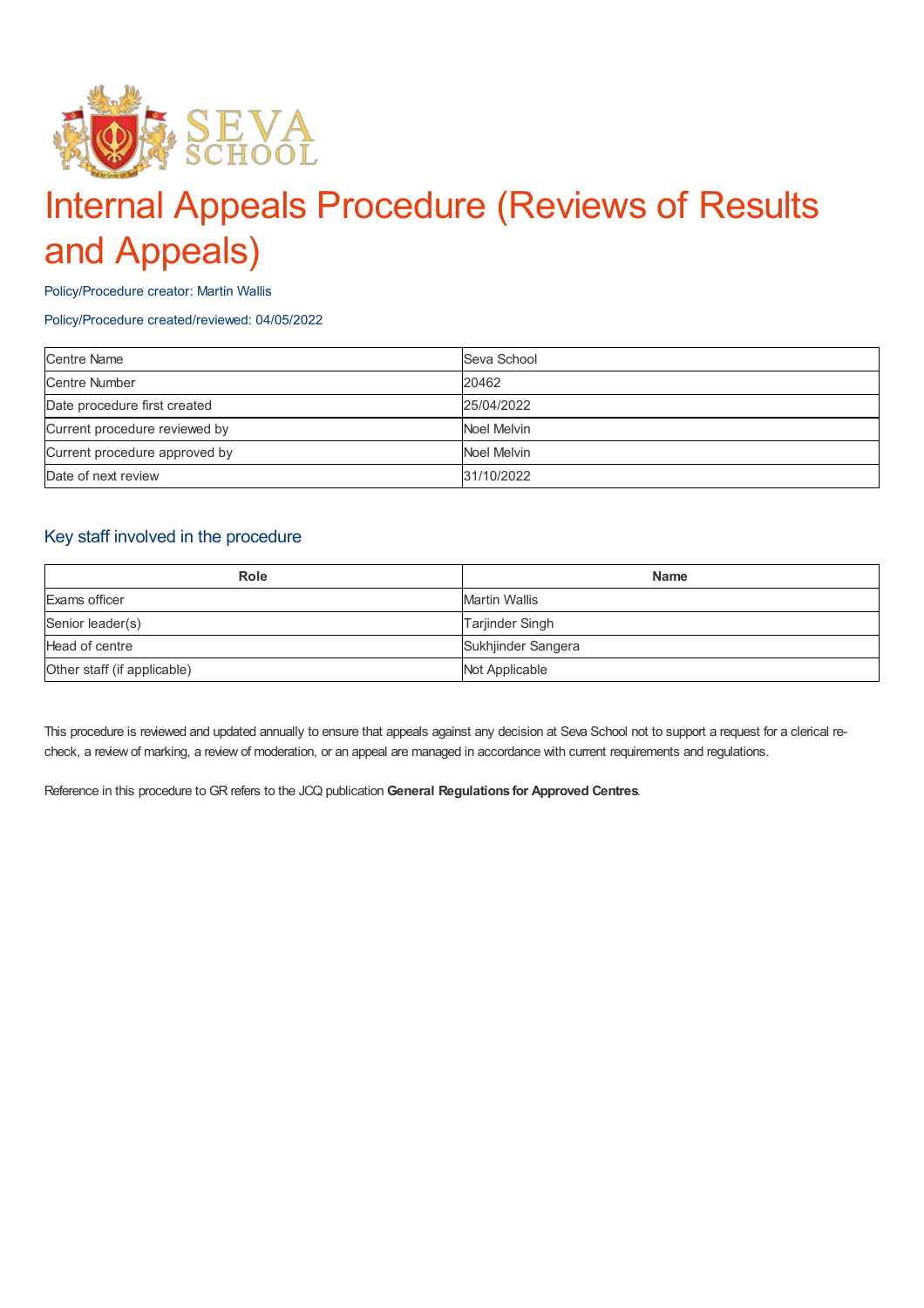

# Internal Appeals Procedure (Reviews of Results and Appeals)

Policy/Procedure creator: Martin Wallis

#### Policy/Procedure created/reviewed: 04/05/2022

| <b>Centre Name</b>            | Seva School |
|-------------------------------|-------------|
| Centre Number                 | 20462       |
| Date procedure first created  | 25/04/2022  |
| Current procedure reviewed by | Noel Melvin |
| Current procedure approved by | Noel Melvin |
| Date of next review           | 31/10/2022  |

## Key staff involved in the procedure

| <b>Role</b>                 | <b>Name</b>            |
|-----------------------------|------------------------|
| Exams officer               | Martin Wallis          |
| Senior leader(s)            | <b>Tarjinder Singh</b> |
| Head of centre              | Sukhjinder Sangera     |
| Other staff (if applicable) | Not Applicable         |

This procedure is reviewed and updated annually to ensure that appeals against any decision at Seva School not to support a request for a clerical recheck, a review of marking, a review of moderation, or an appeal are managed in accordance with current requirements and regulations.

Reference in this procedure to GR refers to the JCQ publication **General Regulations for Approved Centres**.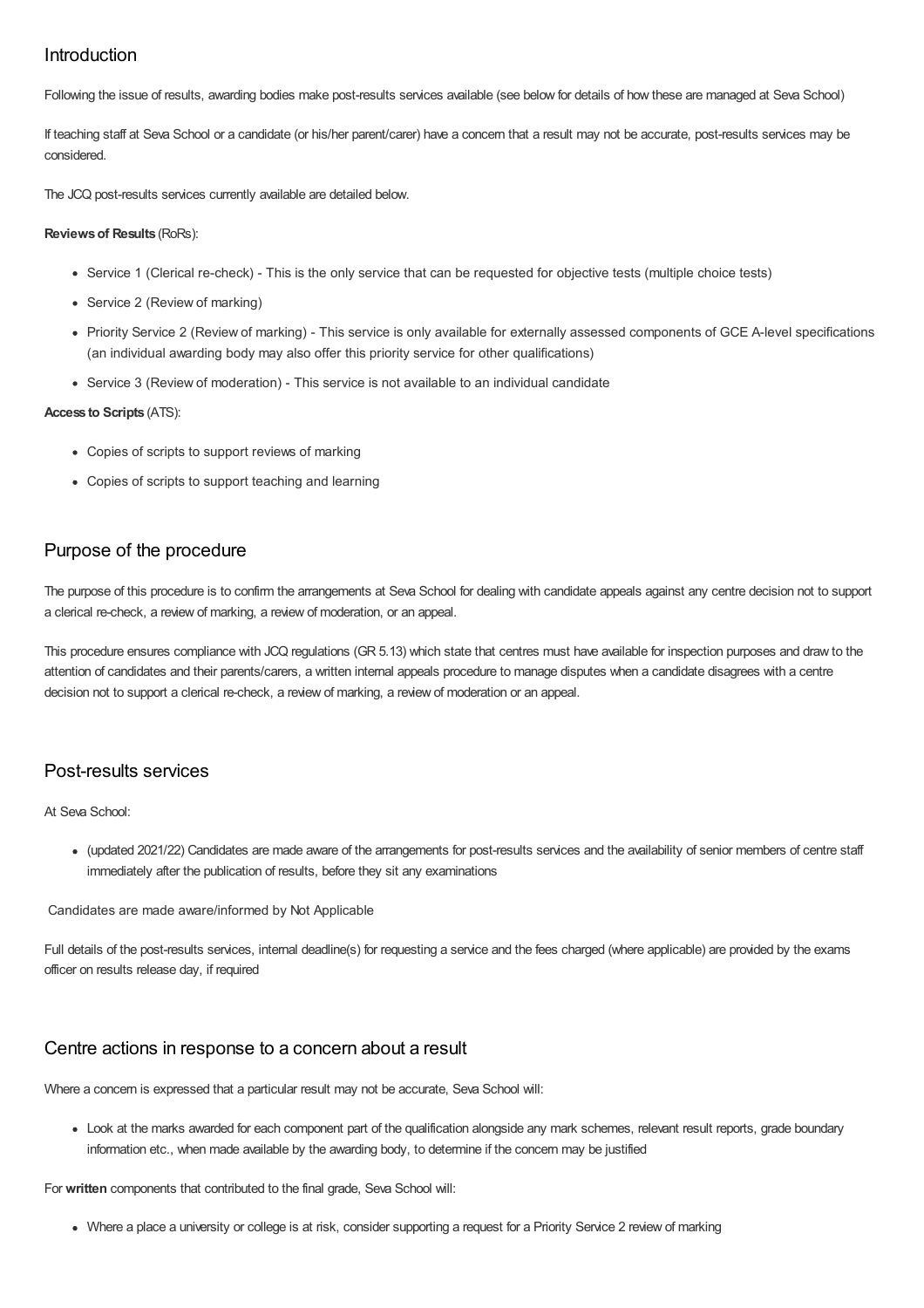## Introduction

Following the issue of results, awarding bodies make post-results services available (see below for details of how these are managed at Seva School)

If teaching staff at Seva School or a candidate (or his/her parent/carer) have a concern that a result may not be accurate, post-results services may be considered.

The JCQ post-results services currently available are detailed below.

#### **Reviewsof Results** (RoRs):

- Service 1 (Clerical re-check) This is the only service that can be requested for objective tests (multiple choice tests)
- Service 2 (Review of marking)
- Priority Service 2 (Review of marking) This service is only available for externally assessed components of GCE A-level specifications (an individual awarding body may also offer this priority service for other qualifications)
- Service 3 (Review of moderation) This service is not available to an individual candidate

#### **Access to Scripts** (ATS):

- Copies of scripts to support reviews of marking
- Copies of scripts to support teaching and learning

## Purpose of the procedure

The purpose of this procedure is to confirm the arrangements at Seva School for dealing with candidate appeals against any centre decision not to support a clerical re-check, a review of marking, a review of moderation, or an appeal.

This procedure ensures compliance with JCQ regulations (GR 5.13) which state that centres must have available for inspection purposes and draw to the attention of candidates and their parents/carers, a written internal appeals procedure to manage disputes when a candidate disagrees with a centre decision not to support a clerical re-check, a review of marking, a review of moderation or an appeal.

## Post-results services

At Seva School:

(updated 2021/22) Candidates are made aware of the arrangements for post-results services and the availability of senior members of centre staff immediately after the publication of results, before they sit any examinations

Candidates are made aware/informed by Not Applicable

Full details of the post-results services, internal deadline(s) for requesting a service and the fees charged (where applicable) are provided by the exams officer on results release day, if required

### Centre actions in response to a concern about a result

Where a concern is expressed that a particular result may not be accurate, Seva School will:

Look at the marks awarded for each component part of the qualification alongside any mark schemes, relevant result reports, grade boundary information etc., when made available by the awarding body, to determine if the concern may be justified

For **written** components that contributed to the final grade, Seva School will:

Where a place a university or college is at risk, consider supporting a request for a Priority Service 2 review of marking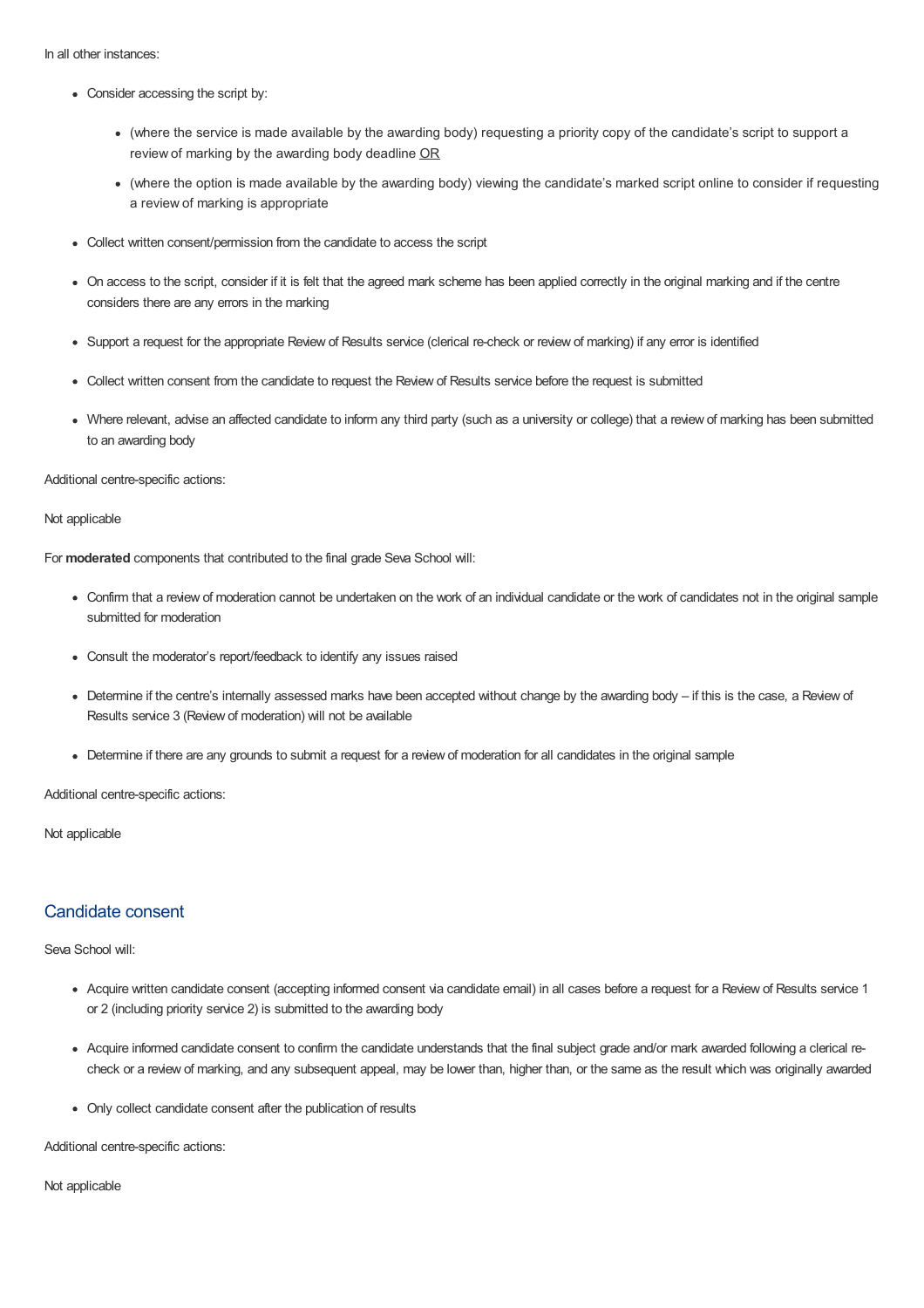In all other instances:

- Consider accessing the script by:
	- (where the service is made available by the awarding body) requesting a priority copy of the candidate's script to support a review of marking by the awarding body deadline OR
	- (where the option is made available by the awarding body) viewing the candidate's marked script online to consider if requesting a review of marking is appropriate
- Collect written consent/permission from the candidate to access the script
- On access to the script, consider if it is felt that the agreed mark scheme has been applied correctly in the original marking and if the centre considers there are any errors in the marking
- Support a request for the appropriate Review of Results service (clerical re-check or review of marking) if any error is identified
- Collect written consent from the candidate to request the Review of Results service before the request is submitted
- Where relevant, advise an affected candidate to inform any third party (such as a university or college) that a review of marking has been submitted to an awarding body

Additional centre-specific actions:

Not applicable

For **moderated** components that contributed to the final grade Seva School will:

- Confirm that a review of moderation cannot be undertaken on the work of an individual candidate or the work of candidates not in the original sample submitted for moderation
- Consult the moderator's report/feedback to identify any issues raised
- Determine if the centre's internally assessed marks have been accepted without change by the awarding body if this is the case, a Review of Results service 3 (Review of moderation) will not be available
- Determine if there are any grounds to submit a request for a review of moderation for all candidates in the original sample

Additional centre-specific actions:

Not applicable

## Candidate consent

#### Seva School will:

- Acquire written candidate consent (accepting informed consent via candidate email) in all cases before a request for a Review of Results service 1 or 2 (including priority service 2) is submitted to the awarding body
- Acquire informed candidate consent to confirm the candidate understands that the final subject grade and/or mark awarded following a clerical recheck or a review of marking, and any subsequent appeal, may be lower than, higher than, or the same as the result which was originally awarded
- Only collect candidate consent after the publication of results

Additional centre-specific actions:

Not applicable